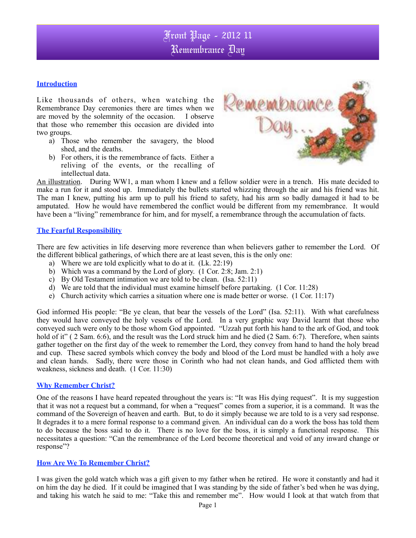#### **Introduction**

Like thousands of others, when watching the Remembrance Day ceremonies there are times when we are moved by the solemnity of the occasion. I observe that those who remember this occasion are divided into two groups.

- a) Those who remember the savagery, the blood shed, and the deaths.
- b) For others, it is the remembrance of facts. Either a reliving of the events, or the recalling of intellectual data.



An illustration. During WW1, a man whom I knew and a fellow soldier were in a trench. His mate decided to make a run for it and stood up. Immediately the bullets started whizzing through the air and his friend was hit. The man I knew, putting his arm up to pull his friend to safety, had his arm so badly damaged it had to be amputated. How he would have remembered the conflict would be different from my remembrance. It would have been a "living" remembrance for him, and for myself, a remembrance through the accumulation of facts.

#### **The Fearful Responsibility**

There are few activities in life deserving more reverence than when believers gather to remember the Lord. Of the different biblical gatherings, of which there are at least seven, this is the only one:

- a) Where we are told explicitly what to do at it. (Lk. 22:19)
- b) Which was a command by the Lord of glory. (1 Cor. 2:8; Jam. 2:1)
- c) By Old Testament intimation we are told to be clean. (Isa. 52:11)
- d) We are told that the individual must examine himself before partaking. (1 Cor. 11:28)
- e) Church activity which carries a situation where one is made better or worse. (1 Cor. 11:17)

God informed His people: "Be ye clean, that bear the vessels of the Lord" (Isa. 52:11). With what carefulness they would have conveyed the holy vessels of the Lord. In a very graphic way David learnt that those who conveyed such were only to be those whom God appointed. "Uzzah put forth his hand to the ark of God, and took hold of it" ( 2 Sam. 6:6), and the result was the Lord struck him and he died (2 Sam. 6:7). Therefore, when saints gather together on the first day of the week to remember the Lord, they convey from hand to hand the holy bread and cup. These sacred symbols which convey the body and blood of the Lord must be handled with a holy awe and clean hands. Sadly, there were those in Corinth who had not clean hands, and God afflicted them with weakness, sickness and death. (1 Cor. 11:30)

#### **Why Remember Christ?**

One of the reasons I have heard repeated throughout the years is: "It was His dying request". It is my suggestion that it was not a request but a command, for when a "request" comes from a superior, it is a command. It was the command of the Sovereign of heaven and earth. But, to do it simply because we are told to is a very sad response. It degrades it to a mere formal response to a command given. An individual can do a work the boss has told them to do because the boss said to do it. There is no love for the boss, it is simply a functional response. This necessitates a question: "Can the remembrance of the Lord become theoretical and void of any inward change or response"?

#### **How Are We To Remember Christ?**

I was given the gold watch which was a gift given to my father when he retired. He wore it constantly and had it on him the day he died. If it could be imagined that I was standing by the side of father's bed when he was dying, and taking his watch he said to me: "Take this and remember me". How would I look at that watch from that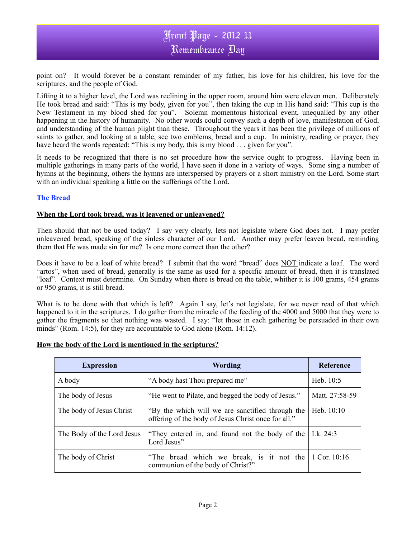point on? It would forever be a constant reminder of my father, his love for his children, his love for the scriptures, and the people of God.

Lifting it to a higher level, the Lord was reclining in the upper room, around him were eleven men. Deliberately He took bread and said: "This is my body, given for you", then taking the cup in His hand said: "This cup is the New Testament in my blood shed for you". Solemn momentous historical event, unequalled by any other happening in the history of humanity. No other words could convey such a depth of love, manifestation of God, and understanding of the human plight than these. Throughout the years it has been the privilege of millions of saints to gather, and looking at a table, see two emblems, bread and a cup. In ministry, reading or prayer, they have heard the words repeated: "This is my body, this is my blood . . . given for you".

It needs to be recognized that there is no set procedure how the service ought to progress. Having been in multiple gatherings in many parts of the world, I have seen it done in a variety of ways. Some sing a number of hymns at the beginning, others the hymns are interspersed by prayers or a short ministry on the Lord. Some start with an individual speaking a little on the sufferings of the Lord.

#### **The Bread**

#### **When the Lord took bread, was it leavened or unleavened?**

Then should that not be used today? I say very clearly, lets not legislate where God does not. I may prefer unleavened bread, speaking of the sinless character of our Lord. Another may prefer leaven bread, reminding them that He was made sin for me? Is one more correct than the other?

Does it have to be a loaf of white bread? I submit that the word "bread" does NOT indicate a loaf. The word "artos", when used of bread, generally is the same as used for a specific amount of bread, then it is translated "loaf". Context must determine. On Sunday when there is bread on the table, whither it is 100 grams, 454 grams or 950 grams, it is still bread.

What is to be done with that which is left? Again I say, let's not legislate, for we never read of that which happened to it in the scriptures. I do gather from the miracle of the feeding of the 4000 and 5000 that they were to gather the fragments so that nothing was wasted. I say: "let those in each gathering be persuaded in their own minds" (Rom. 14:5), for they are accountable to God alone (Rom. 14:12).

| How the body of the Lord is mentioned in the scriptures? |
|----------------------------------------------------------|
|----------------------------------------------------------|

| <b>Expression</b>          | <b>Wording</b>                                                                                          | <b>Reference</b> |
|----------------------------|---------------------------------------------------------------------------------------------------------|------------------|
| A body                     | "A body hast Thou prepared me"                                                                          | Heb. $10:5$      |
| The body of Jesus          | "He went to Pilate, and begged the body of Jesus."                                                      | Matt. 27:58-59   |
| The body of Jesus Christ   | "By the which will we are sanctified through the<br>offering of the body of Jesus Christ once for all." | Heb. $10:10$     |
| The Body of the Lord Jesus | "They entered in, and found not the body of the<br>Lord Jesus"                                          | Lk. $24:3$       |
| The body of Christ         | "The bread which we break, is it not the<br>communion of the body of Christ?"                           | 1 Cor. $10:16$   |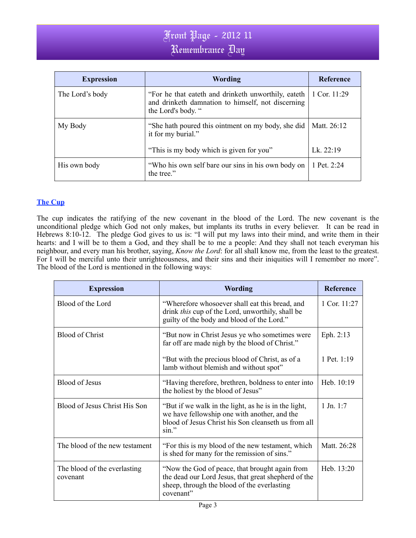| <b>Expression</b> | <b>Wording</b>                                                                                                                 | Reference    |
|-------------------|--------------------------------------------------------------------------------------------------------------------------------|--------------|
| The Lord's body   | "For he that eateth and drinketh unworthily, eateth<br>and drinketh damnation to himself, not discerning<br>the Lord's body. " | 1 Cor. 11:29 |
| My Body           | "She hath poured this ointment on my body, she did<br>it for my burial."                                                       | Matt. 26:12  |
|                   | "This is my body which is given for you"                                                                                       | Lk. $22:19$  |
| His own body      | "Who his own self bare our sins in his own body on<br>the tree."                                                               | 1 Pet. 2:24  |

### **The Cup**

The cup indicates the ratifying of the new covenant in the blood of the Lord. The new covenant is the unconditional pledge which God not only makes, but implants its truths in every believer. It can be read in Hebrews 8:10-12. The pledge God gives to us is: "I will put my laws into their mind, and write them in their hearts: and I will be to them a God, and they shall be to me a people: And they shall not teach everyman his neighbour, and every man his brother, saying, *Know the Lord*: for all shall know me, from the least to the greatest. For I will be merciful unto their unrighteousness, and their sins and their iniquities will I remember no more". The blood of the Lord is mentioned in the following ways:

| <b>Expression</b>                        | <b>Wording</b>                                                                                                                                                       | Reference      |
|------------------------------------------|----------------------------------------------------------------------------------------------------------------------------------------------------------------------|----------------|
| Blood of the Lord                        | "Wherefore whosoever shall eat this bread, and<br>drink this cup of the Lord, unworthily, shall be<br>guilty of the body and blood of the Lord."                     | 1 Cor. $11:27$ |
| <b>Blood of Christ</b>                   | "But now in Christ Jesus ye who sometimes were<br>far off are made nigh by the blood of Christ."                                                                     | Eph. 2:13      |
|                                          | "But with the precious blood of Christ, as of a<br>lamb without blemish and without spot"                                                                            | 1 Pet. $1:19$  |
| <b>Blood of Jesus</b>                    | "Having therefore, brethren, boldness to enter into<br>the holiest by the blood of Jesus"                                                                            | Heb. 10:19     |
| Blood of Jesus Christ His Son            | "But if we walk in the light, as he is in the light,<br>we have fellowship one with another, and the<br>blood of Jesus Christ his Son cleanseth us from all<br>sin." | $1$ Jn. 1:7    |
| The blood of the new testament           | "For this is my blood of the new testament, which<br>is shed for many for the remission of sins."                                                                    | Matt. 26:28    |
| The blood of the everlasting<br>covenant | "Now the God of peace, that brought again from<br>the dead our Lord Jesus, that great shepherd of the<br>sheep, through the blood of the everlasting<br>covenant"    | Heb. 13:20     |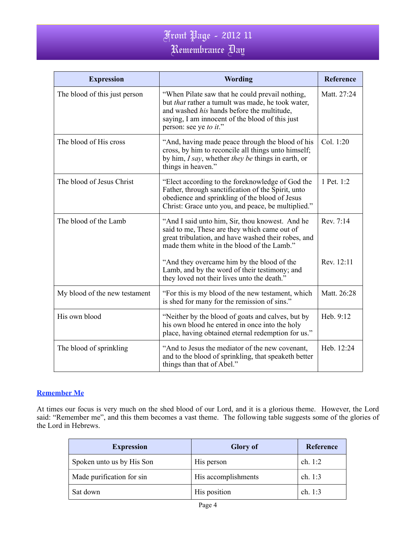| <b>Expression</b>             | Wording                                                                                                                                                                                                                                | <b>Reference</b> |
|-------------------------------|----------------------------------------------------------------------------------------------------------------------------------------------------------------------------------------------------------------------------------------|------------------|
| The blood of this just person | "When Pilate saw that he could prevail nothing,<br>but <i>that</i> rather a tumult was made, he took water,<br>and washed his hands before the multitude,<br>saying, I am innocent of the blood of this just<br>person: see ye to it." | Matt. 27:24      |
| The blood of His cross        | "And, having made peace through the blood of his<br>cross, by him to reconcile all things unto himself;<br>by him, I say, whether they be things in earth, or<br>things in heaven."                                                    | Col. 1:20        |
| The blood of Jesus Christ     | "Elect according to the foreknowledge of God the<br>Father, through sanctification of the Spirit, unto<br>obedience and sprinkling of the blood of Jesus<br>Christ: Grace unto you, and peace, be multiplied."                         | 1 Pet. 1:2       |
| The blood of the Lamb         | "And I said unto him, Sir, thou knowest. And he<br>said to me, These are they which came out of<br>great tribulation, and have washed their robes, and<br>made them white in the blood of the Lamb."                                   | Rev. 7:14        |
|                               | "And they overcame him by the blood of the<br>Lamb, and by the word of their testimony; and<br>they loved not their lives unto the death."                                                                                             | Rev. 12:11       |
| My blood of the new testament | "For this is my blood of the new testament, which<br>is shed for many for the remission of sins."                                                                                                                                      | Matt. 26:28      |
| His own blood                 | "Neither by the blood of goats and calves, but by<br>his own blood he entered in once into the holy<br>place, having obtained eternal redemption for us."                                                                              | Heb. 9:12        |
| The blood of sprinkling       | "And to Jesus the mediator of the new covenant,<br>and to the blood of sprinkling, that speaketh better<br>things than that of Abel."                                                                                                  | Heb. 12:24       |

### **Remember Me**

At times our focus is very much on the shed blood of our Lord, and it is a glorious theme. However, the Lord said: "Remember me", and this them becomes a vast theme. The following table suggests some of the glories of the Lord in Hebrews.

| <b>Expression</b>         | <b>Glory</b> of     | Reference |
|---------------------------|---------------------|-----------|
| Spoken unto us by His Son | His person          | ch. $1:2$ |
| Made purification for sin | His accomplishments | ch. $1:3$ |
| Sat down                  | His position        | ch. 1:3   |